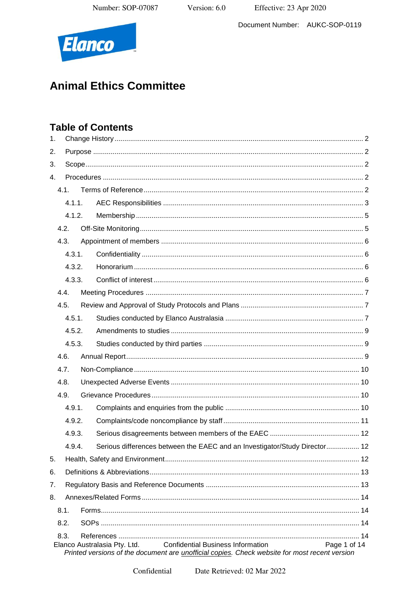Effective: 23 Apr 2020

Document Number: AUKC-SOP-0119



# **Animal Ethics Committee**

## **Table of Contents**

| 1. |      |        |  |                                                                                                                                                                           |              |  |
|----|------|--------|--|---------------------------------------------------------------------------------------------------------------------------------------------------------------------------|--------------|--|
| 2. |      |        |  |                                                                                                                                                                           |              |  |
| 3. |      |        |  |                                                                                                                                                                           |              |  |
| 4. |      |        |  |                                                                                                                                                                           |              |  |
|    |      | 4.1.   |  |                                                                                                                                                                           |              |  |
|    |      | 4.1.1. |  |                                                                                                                                                                           |              |  |
|    |      | 4.1.2. |  |                                                                                                                                                                           |              |  |
|    |      | 4.2.   |  |                                                                                                                                                                           |              |  |
|    |      | 4.3.   |  |                                                                                                                                                                           |              |  |
|    |      | 4.3.1. |  |                                                                                                                                                                           |              |  |
|    |      | 4.3.2. |  |                                                                                                                                                                           |              |  |
|    |      | 4.3.3. |  |                                                                                                                                                                           |              |  |
|    |      | 4.4.   |  |                                                                                                                                                                           |              |  |
|    | 4.5. |        |  |                                                                                                                                                                           |              |  |
|    |      | 4.5.1. |  |                                                                                                                                                                           |              |  |
|    |      | 4.5.2. |  |                                                                                                                                                                           |              |  |
|    |      | 4.5.3. |  |                                                                                                                                                                           |              |  |
|    | 4.6. |        |  |                                                                                                                                                                           |              |  |
|    | 4.7. |        |  |                                                                                                                                                                           |              |  |
|    | 4.8. |        |  |                                                                                                                                                                           |              |  |
|    | 4.9. |        |  |                                                                                                                                                                           |              |  |
|    |      | 4.9.1. |  |                                                                                                                                                                           |              |  |
|    |      | 4.9.2. |  |                                                                                                                                                                           |              |  |
|    |      | 4.9.3. |  |                                                                                                                                                                           |              |  |
|    |      | 4.9.4. |  | Serious differences between the EAEC and an Investigator/Study Director 12                                                                                                |              |  |
| 5. |      |        |  |                                                                                                                                                                           |              |  |
| 6. |      |        |  |                                                                                                                                                                           |              |  |
| 7. |      |        |  |                                                                                                                                                                           |              |  |
| 8. |      |        |  |                                                                                                                                                                           |              |  |
|    | 8.1. |        |  |                                                                                                                                                                           |              |  |
|    | 8.2. |        |  |                                                                                                                                                                           |              |  |
|    | 8.3. |        |  |                                                                                                                                                                           |              |  |
|    |      |        |  | <b>Confidential Business Information</b><br>Elanco Australasia Pty. Ltd.<br>Printed versions of the document are unofficial copies. Check website for most recent version | Page 1 of 14 |  |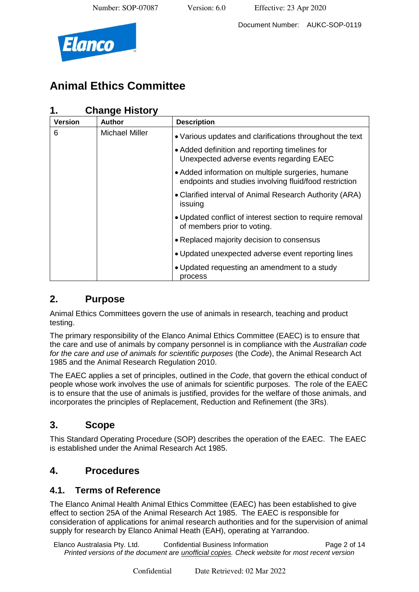



## **Animal Ethics Committee**

### **1. Change History**

| <b>Version</b> | <b>Author</b>         | <b>Description</b>                                                                                          |
|----------------|-----------------------|-------------------------------------------------------------------------------------------------------------|
| 6              | <b>Michael Miller</b> | • Various updates and clarifications throughout the text                                                    |
|                |                       | • Added definition and reporting timelines for<br>Unexpected adverse events regarding EAEC                  |
|                |                       | • Added information on multiple surgeries, humane<br>endpoints and studies involving fluid/food restriction |
|                |                       | • Clarified interval of Animal Research Authority (ARA)<br>issuing                                          |
|                |                       | • Updated conflict of interest section to require removal<br>of members prior to voting.                    |
|                |                       | • Replaced majority decision to consensus                                                                   |
|                |                       | • Updated unexpected adverse event reporting lines                                                          |
|                |                       | • Updated requesting an amendment to a study<br>process                                                     |

### **2. Purpose**

Animal Ethics Committees govern the use of animals in research, teaching and product testing.

The primary responsibility of the Elanco Animal Ethics Committee (EAEC) is to ensure that the care and use of animals by company personnel is in compliance with the *Australian code for the care and use of animals for scientific purposes* (the *Code*), the Animal Research Act 1985 and the Animal Research Regulation 2010.

The EAEC applies a set of principles, outlined in the *Code*, that govern the ethical conduct of people whose work involves the use of animals for scientific purposes. The role of the EAEC is to ensure that the use of animals is justified, provides for the welfare of those animals, and incorporates the principles of Replacement, Reduction and Refinement (the 3Rs).

## **3. Scope**

This Standard Operating Procedure (SOP) describes the operation of the EAEC. The EAEC is established under the Animal Research Act 1985.

## **4. Procedures**

### **4.1. Terms of Reference**

The Elanco Animal Health Animal Ethics Committee (EAEC) has been established to give effect to section 25A of the Animal Research Act 1985. The EAEC is responsible for consideration of applications for animal research authorities and for the supervision of animal supply for research by Elanco Animal Heath (EAH), operating at Yarrandoo.

Elanco Australasia Pty. Ltd. Confidential Business Information Page 2 of 14 *Printed versions of the document are unofficial copies. Check website for most recent version*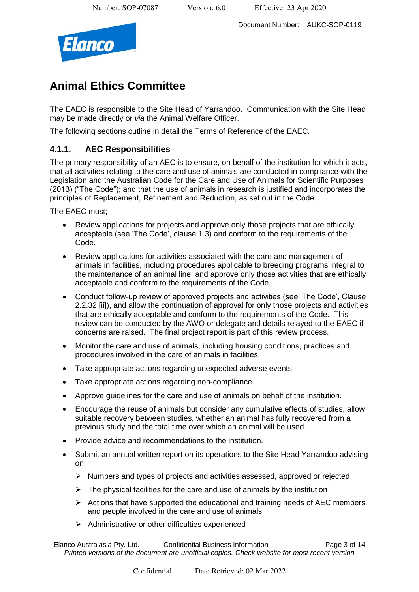Document Number: AUKC-SOP-0119



## **Animal Ethics Committee**

The EAEC is responsible to the Site Head of Yarrandoo. Communication with the Site Head may be made directly or *via* the Animal Welfare Officer.

The following sections outline in detail the Terms of Reference of the EAEC.

#### **4.1.1. AEC Responsibilities**

The primary responsibility of an AEC is to ensure, on behalf of the institution for which it acts, that all activities relating to the care and use of animals are conducted in compliance with the Legislation and the Australian Code for the Care and Use of Animals for Scientific Purposes (2013) ("The Code"); and that the use of animals in research is justified and incorporates the principles of Replacement, Refinement and Reduction, as set out in the Code.

The EAEC must;

- Review applications for projects and approve only those projects that are ethically acceptable (see 'The Code', clause 1.3) and conform to the requirements of the Code.
- Review applications for activities associated with the care and management of animals in facilities, including procedures applicable to breeding programs integral to the maintenance of an animal line, and approve only those activities that are ethically acceptable and conform to the requirements of the Code.
- Conduct follow-up review of approved projects and activities (see 'The Code', Clause 2.2.32 [ii]), and allow the continuation of approval for only those projects and activities that are ethically acceptable and conform to the requirements of the Code. This review can be conducted by the AWO or delegate and details relayed to the EAEC if concerns are raised. The final project report is part of this review process.
- Monitor the care and use of animals, including housing conditions, practices and procedures involved in the care of animals in facilities.
- Take appropriate actions regarding unexpected adverse events.
- Take appropriate actions regarding non-compliance.
- Approve guidelines for the care and use of animals on behalf of the institution.
- Encourage the reuse of animals but consider any cumulative effects of studies, allow suitable recovery between studies, whether an animal has fully recovered from a previous study and the total time over which an animal will be used.
- Provide advice and recommendations to the institution.
- Submit an annual written report on its operations to the Site Head Yarrandoo advising on;
	- ➢ Numbers and types of projects and activities assessed, approved or rejected
	- $\triangleright$  The physical facilities for the care and use of animals by the institution
	- $\triangleright$  Actions that have supported the educational and training needs of AEC members and people involved in the care and use of animals
	- ➢ Administrative or other difficulties experienced

Elanco Australasia Pty. Ltd. Confidential Business Information Page 3 of 14 *Printed versions of the document are unofficial copies. Check website for most recent version*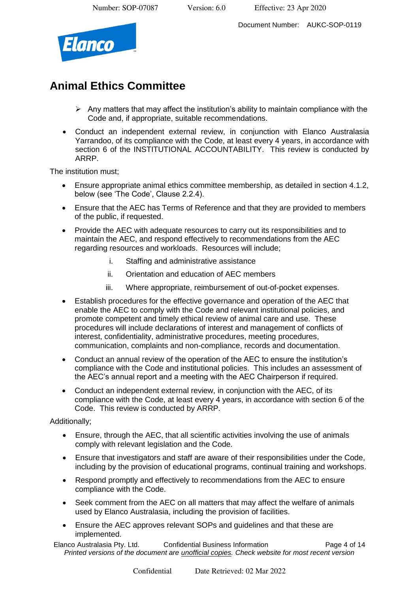Document Number: AUKC-SOP-0119



## **Animal Ethics Committee**

- $\triangleright$  Any matters that may affect the institution's ability to maintain compliance with the Code and, if appropriate, suitable recommendations.
- Conduct an independent external review, in conjunction with Elanco Australasia Yarrandoo, of its compliance with the Code, at least every 4 years, in accordance with section 6 of the INSTITUTIONAL ACCOUNTABILITY. This review is conducted by ARRP.

The institution must;

- Ensure appropriate animal ethics committee membership, as detailed in section 4.1.2, below (see 'The Code', Clause 2.2.4).
- Ensure that the AEC has Terms of Reference and that they are provided to members of the public, if requested.
- Provide the AEC with adequate resources to carry out its responsibilities and to maintain the AEC, and respond effectively to recommendations from the AEC regarding resources and workloads. Resources will include;
	- i. Staffing and administrative assistance
	- ii. Orientation and education of AEC members
	- iii. Where appropriate, reimbursement of out-of-pocket expenses.
- Establish procedures for the effective governance and operation of the AEC that enable the AEC to comply with the Code and relevant institutional policies, and promote competent and timely ethical review of animal care and use. These procedures will include declarations of interest and management of conflicts of interest, confidentiality, administrative procedures, meeting procedures, communication, complaints and non-compliance, records and documentation.
- Conduct an annual review of the operation of the AEC to ensure the institution's compliance with the Code and institutional policies. This includes an assessment of the AEC's annual report and a meeting with the AEC Chairperson if required.
- Conduct an independent external review, in conjunction with the AEC, of its compliance with the Code, at least every 4 years, in accordance with section 6 of the Code. This review is conducted by ARRP.

#### Additionally;

- Ensure, through the AEC, that all scientific activities involving the use of animals comply with relevant legislation and the Code.
- Ensure that investigators and staff are aware of their responsibilities under the Code, including by the provision of educational programs, continual training and workshops.
- Respond promptly and effectively to recommendations from the AEC to ensure compliance with the Code.
- Seek comment from the AEC on all matters that may affect the welfare of animals used by Elanco Australasia, including the provision of facilities.
- Ensure the AEC approves relevant SOPs and guidelines and that these are implemented.

Elanco Australasia Pty. Ltd. Confidential Business Information Page 4 of 14 *Printed versions of the document are unofficial copies. Check website for most recent version*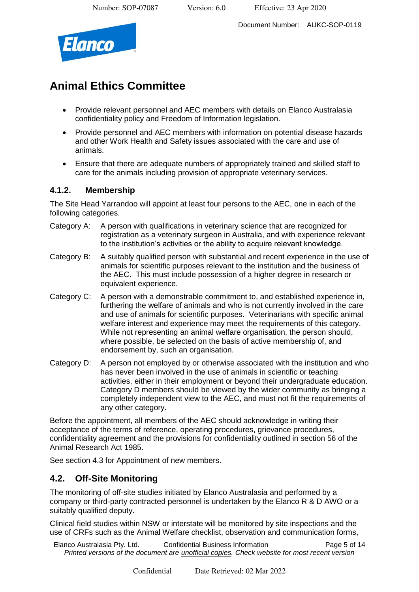Document Number: AUKC-SOP-0119



## **Animal Ethics Committee**

- Provide relevant personnel and AEC members with details on Elanco Australasia confidentiality policy and Freedom of Information legislation.
- Provide personnel and AEC members with information on potential disease hazards and other Work Health and Safety issues associated with the care and use of animals.
- Ensure that there are adequate numbers of appropriately trained and skilled staff to care for the animals including provision of appropriate veterinary services.

### **4.1.2. Membership**

The Site Head Yarrandoo will appoint at least four persons to the AEC, one in each of the following categories.

- Category A: A person with qualifications in veterinary science that are recognized for registration as a veterinary surgeon in Australia, and with experience relevant to the institution's activities or the ability to acquire relevant knowledge.
- Category B: A suitably qualified person with substantial and recent experience in the use of animals for scientific purposes relevant to the institution and the business of the AEC. This must include possession of a higher degree in research or equivalent experience.
- Category C: A person with a demonstrable commitment to, and established experience in, furthering the welfare of animals and who is not currently involved in the care and use of animals for scientific purposes. Veterinarians with specific animal welfare interest and experience may meet the requirements of this category. While not representing an animal welfare organisation, the person should, where possible, be selected on the basis of active membership of, and endorsement by, such an organisation.
- Category D: A person not employed by or otherwise associated with the institution and who has never been involved in the use of animals in scientific or teaching activities, either in their employment or beyond their undergraduate education. Category D members should be viewed by the wider community as bringing a completely independent view to the AEC, and must not fit the requirements of any other category.

Before the appointment, all members of the AEC should acknowledge in writing their acceptance of the terms of reference, operating procedures, grievance procedures, confidentiality agreement and the provisions for confidentiality outlined in section 56 of the Animal Research Act 1985.

See section 4.3 for Appointment of new members.

### **4.2. Off-Site Monitoring**

The monitoring of off-site studies initiated by Elanco Australasia and performed by a company or third-party contracted personnel is undertaken by the Elanco R & D AWO or a suitably qualified deputy.

Clinical field studies within NSW or interstate will be monitored by site inspections and the use of CRFs such as the Animal Welfare checklist, observation and communication forms,

Elanco Australasia Pty. Ltd. Confidential Business Information Page 5 of 14 *Printed versions of the document are unofficial copies. Check website for most recent version*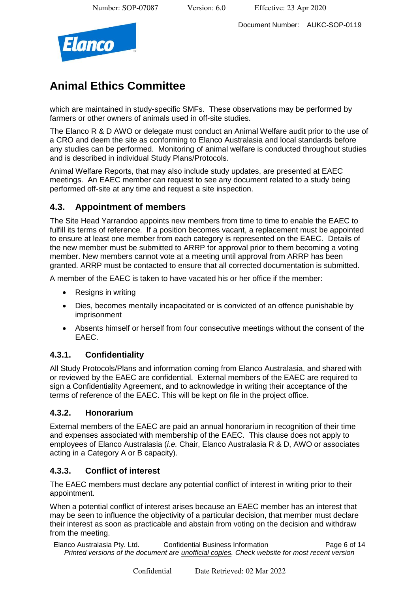Document Number: AUKC-SOP-0119



## **Animal Ethics Committee**

which are maintained in study-specific SMFs. These observations may be performed by farmers or other owners of animals used in off-site studies.

The Elanco R & D AWO or delegate must conduct an Animal Welfare audit prior to the use of a CRO and deem the site as conforming to Elanco Australasia and local standards before any studies can be performed. Monitoring of animal welfare is conducted throughout studies and is described in individual Study Plans/Protocols.

Animal Welfare Reports, that may also include study updates, are presented at EAEC meetings. An EAEC member can request to see any document related to a study being performed off-site at any time and request a site inspection.

### **4.3. Appointment of members**

The Site Head Yarrandoo appoints new members from time to time to enable the EAEC to fulfill its terms of reference. If a position becomes vacant, a replacement must be appointed to ensure at least one member from each category is represented on the EAEC. Details of the new member must be submitted to ARRP for approval prior to them becoming a voting member. New members cannot vote at a meeting until approval from ARRP has been granted. ARRP must be contacted to ensure that all corrected documentation is submitted.

A member of the EAEC is taken to have vacated his or her office if the member:

- Resigns in writing
- Dies, becomes mentally incapacitated or is convicted of an offence punishable by imprisonment
- Absents himself or herself from four consecutive meetings without the consent of the EAEC.

### **4.3.1. Confidentiality**

All Study Protocols/Plans and information coming from Elanco Australasia, and shared with or reviewed by the EAEC are confidential. External members of the EAEC are required to sign a Confidentiality Agreement, and to acknowledge in writing their acceptance of the terms of reference of the EAEC. This will be kept on file in the project office.

#### **4.3.2. Honorarium**

External members of the EAEC are paid an annual honorarium in recognition of their time and expenses associated with membership of the EAEC. This clause does not apply to employees of Elanco Australasia (*i.e.* Chair, Elanco Australasia R & D, AWO or associates acting in a Category A or B capacity).

### **4.3.3. Conflict of interest**

The EAEC members must declare any potential conflict of interest in writing prior to their appointment.

When a potential conflict of interest arises because an EAEC member has an interest that may be seen to influence the objectivity of a particular decision, that member must declare their interest as soon as practicable and abstain from voting on the decision and withdraw from the meeting.

Elanco Australasia Pty. Ltd. Confidential Business Information Page 6 of 14 *Printed versions of the document are unofficial copies. Check website for most recent version*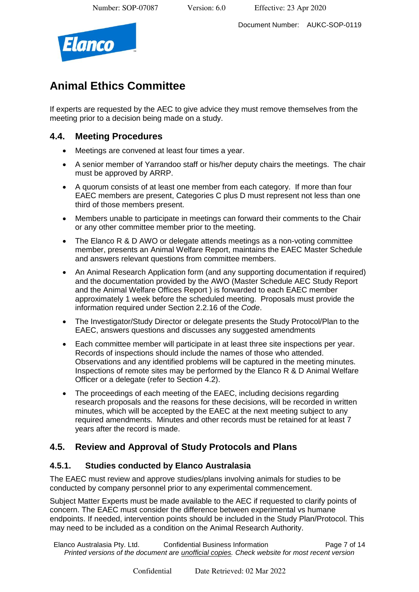Document Number: AUKC-SOP-0119



## **Animal Ethics Committee**

If experts are requested by the AEC to give advice they must remove themselves from the meeting prior to a decision being made on a study.

### **4.4. Meeting Procedures**

- Meetings are convened at least four times a year.
- A senior member of Yarrandoo staff or his/her deputy chairs the meetings. The chair must be approved by ARRP.
- A quorum consists of at least one member from each category. If more than four EAEC members are present, Categories C plus D must represent not less than one third of those members present.
- Members unable to participate in meetings can forward their comments to the Chair or any other committee member prior to the meeting.
- The Elanco R & D AWO or delegate attends meetings as a non-voting committee member, presents an Animal Welfare Report, maintains the EAEC Master Schedule and answers relevant questions from committee members.
- An Animal Research Application form (and any supporting documentation if required) and the documentation provided by the AWO (Master Schedule AEC Study Report and the Animal Welfare Offices Report ) is forwarded to each EAEC member approximately 1 week before the scheduled meeting. Proposals must provide the information required under Section 2.2.16 of the *Code*.
- The Investigator/Study Director or delegate presents the Study Protocol/Plan to the EAEC, answers questions and discusses any suggested amendments
- Each committee member will participate in at least three site inspections per year. Records of inspections should include the names of those who attended. Observations and any identified problems will be captured in the meeting minutes. Inspections of remote sites may be performed by the Elanco R & D Animal Welfare Officer or a delegate (refer to Section 4.2).
- The proceedings of each meeting of the EAEC, including decisions regarding research proposals and the reasons for these decisions, will be recorded in written minutes, which will be accepted by the EAEC at the next meeting subject to any required amendments. Minutes and other records must be retained for at least 7 years after the record is made.

### **4.5. Review and Approval of Study Protocols and Plans**

### **4.5.1. Studies conducted by Elanco Australasia**

The EAEC must review and approve studies/plans involving animals for studies to be conducted by company personnel prior to any experimental commencement.

Subject Matter Experts must be made available to the AEC if requested to clarify points of concern. The EAEC must consider the difference between experimental vs humane endpoints. If needed, intervention points should be included in the Study Plan/Protocol. This may need to be included as a condition on the Animal Research Authority.

Elanco Australasia Pty. Ltd. Confidential Business Information Page 7 of 14 *Printed versions of the document are unofficial copies. Check website for most recent version*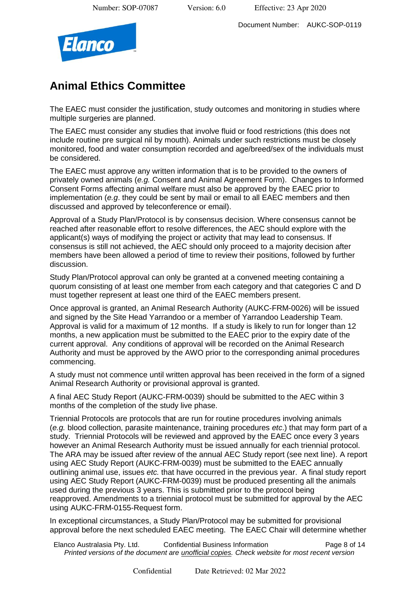Document Number: AUKC-SOP-0119



## **Animal Ethics Committee**

The EAEC must consider the justification, study outcomes and monitoring in studies where multiple surgeries are planned.

The EAEC must consider any studies that involve fluid or food restrictions (this does not include routine pre surgical nil by mouth). Animals under such restrictions must be closely monitored, food and water consumption recorded and age/breed/sex of the individuals must be considered.

The EAEC must approve any written information that is to be provided to the owners of privately owned animals (*e.g.* Consent and Animal Agreement Form). Changes to Informed Consent Forms affecting animal welfare must also be approved by the EAEC prior to implementation (*e.g*. they could be sent by mail or email to all EAEC members and then discussed and approved by teleconference or email).

Approval of a Study Plan/Protocol is by consensus decision. Where consensus cannot be reached after reasonable effort to resolve differences, the AEC should explore with the applicant(s) ways of modifying the project or activity that may lead to consensus. If consensus is still not achieved, the AEC should only proceed to a majority decision after members have been allowed a period of time to review their positions, followed by further discussion.

Study Plan/Protocol approval can only be granted at a convened meeting containing a quorum consisting of at least one member from each category and that categories C and D must together represent at least one third of the EAEC members present.

Once approval is granted, an Animal Research Authority (AUKC-FRM-0026) will be issued and signed by the Site Head Yarrandoo or a member of Yarrandoo Leadership Team. Approval is valid for a maximum of 12 months. If a study is likely to run for longer than 12 months, a new application must be submitted to the EAEC prior to the expiry date of the current approval. Any conditions of approval will be recorded on the Animal Research Authority and must be approved by the AWO prior to the corresponding animal procedures commencing.

A study must not commence until written approval has been received in the form of a signed Animal Research Authority or provisional approval is granted.

A final AEC Study Report (AUKC-FRM-0039) should be submitted to the AEC within 3 months of the completion of the study live phase.

Triennial Protocols are protocols that are run for routine procedures involving animals (*e.g.* blood collection, parasite maintenance, training procedures *etc*.) that may form part of a study. Triennial Protocols will be reviewed and approved by the EAEC once every 3 years however an Animal Research Authority must be issued annually for each triennial protocol. The ARA may be issued after review of the annual AEC Study report (see next line). A report using AEC Study Report (AUKC-FRM-0039) must be submitted to the EAEC annually outlining animal use, issues *etc.* that have occurred in the previous year. A final study report using AEC Study Report (AUKC-FRM-0039) must be produced presenting all the animals used during the previous 3 years. This is submitted prior to the protocol being reapproved. Amendments to a triennial protocol must be submitted for approval by the AEC using AUKC-FRM-0155-Request form.

In exceptional circumstances, a Study Plan/Protocol may be submitted for provisional approval before the next scheduled EAEC meeting. The EAEC Chair will determine whether

Elanco Australasia Pty. Ltd. Confidential Business Information Page 8 of 14 *Printed versions of the document are unofficial copies. Check website for most recent version*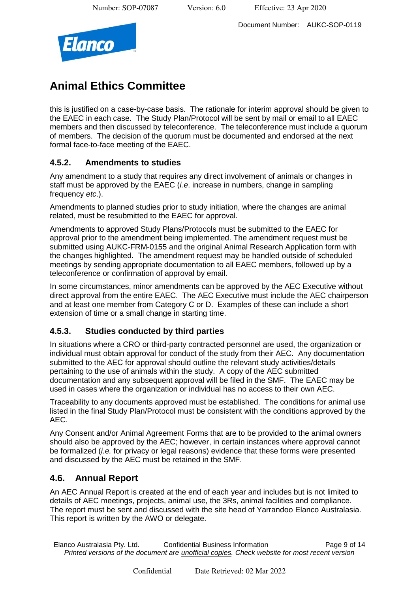Document Number: AUKC-SOP-0119



## **Animal Ethics Committee**

this is justified on a case-by-case basis. The rationale for interim approval should be given to the EAEC in each case. The Study Plan/Protocol will be sent by mail or email to all EAEC members and then discussed by teleconference. The teleconference must include a quorum of members. The decision of the quorum must be documented and endorsed at the next formal face-to-face meeting of the EAEC.

### **4.5.2. Amendments to studies**

Any amendment to a study that requires any direct involvement of animals or changes in staff must be approved by the EAEC (*i.e*. increase in numbers, change in sampling frequency *etc*.).

Amendments to planned studies prior to study initiation, where the changes are animal related, must be resubmitted to the EAEC for approval.

Amendments to approved Study Plans/Protocols must be submitted to the EAEC for approval prior to the amendment being implemented. The amendment request must be submitted using AUKC-FRM-0155 and the original Animal Research Application form with the changes highlighted. The amendment request may be handled outside of scheduled meetings by sending appropriate documentation to all EAEC members, followed up by a teleconference or confirmation of approval by email.

In some circumstances, minor amendments can be approved by the AEC Executive without direct approval from the entire EAEC. The AEC Executive must include the AEC chairperson and at least one member from Category C or D. Examples of these can include a short extension of time or a small change in starting time.

### **4.5.3. Studies conducted by third parties**

In situations where a CRO or third-party contracted personnel are used, the organization or individual must obtain approval for conduct of the study from their AEC. Any documentation submitted to the AEC for approval should outline the relevant study activities/details pertaining to the use of animals within the study. A copy of the AEC submitted documentation and any subsequent approval will be filed in the SMF. The EAEC may be used in cases where the organization or individual has no access to their own AEC.

Traceability to any documents approved must be established. The conditions for animal use listed in the final Study Plan/Protocol must be consistent with the conditions approved by the AEC.

Any Consent and/or Animal Agreement Forms that are to be provided to the animal owners should also be approved by the AEC; however, in certain instances where approval cannot be formalized (*i.e.* for privacy or legal reasons) evidence that these forms were presented and discussed by the AEC must be retained in the SMF.

### **4.6. Annual Report**

An AEC Annual Report is created at the end of each year and includes but is not limited to details of AEC meetings, projects, animal use, the 3Rs, animal facilities and compliance. The report must be sent and discussed with the site head of Yarrandoo Elanco Australasia. This report is written by the AWO or delegate.

Elanco Australasia Pty. Ltd. Confidential Business Information Page 9 of 14 *Printed versions of the document are unofficial copies. Check website for most recent version*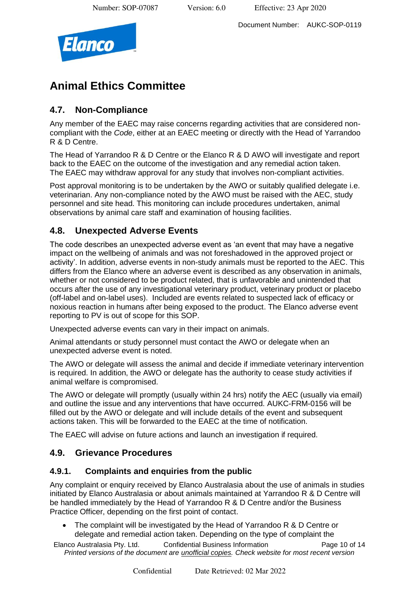Document Number: AUKC-SOP-0119



## **Animal Ethics Committee**

### **4.7. Non-Compliance**

Any member of the EAEC may raise concerns regarding activities that are considered noncompliant with the *Code*, either at an EAEC meeting or directly with the Head of Yarrandoo R & D Centre.

The Head of Yarrandoo R & D Centre or the Elanco R & D AWO will investigate and report back to the EAEC on the outcome of the investigation and any remedial action taken. The EAEC may withdraw approval for any study that involves non-compliant activities.

Post approval monitoring is to be undertaken by the AWO or suitably qualified delegate i.e. veterinarian. Any non-compliance noted by the AWO must be raised with the AEC, study personnel and site head. This monitoring can include procedures undertaken, animal observations by animal care staff and examination of housing facilities.

### **4.8. Unexpected Adverse Events**

The code describes an unexpected adverse event as 'an event that may have a negative impact on the wellbeing of animals and was not foreshadowed in the approved project or activity'. In addition, adverse events in non-study animals must be reported to the AEC. This differs from the Elanco where an adverse event is described as any observation in animals, whether or not considered to be product related, that is unfavorable and unintended that occurs after the use of any investigational veterinary product, veterinary product or placebo (off-label and on-label uses). Included are events related to suspected lack of efficacy or noxious reaction in humans after being exposed to the product. The Elanco adverse event reporting to PV is out of scope for this SOP.

Unexpected adverse events can vary in their impact on animals.

Animal attendants or study personnel must contact the AWO or delegate when an unexpected adverse event is noted.

The AWO or delegate will assess the animal and decide if immediate veterinary intervention is required. In addition, the AWO or delegate has the authority to cease study activities if animal welfare is compromised.

The AWO or delegate will promptly (usually within 24 hrs) notify the AEC (usually via email) and outline the issue and any interventions that have occurred. AUKC-FRM-0156 will be filled out by the AWO or delegate and will include details of the event and subsequent actions taken. This will be forwarded to the EAEC at the time of notification.

The EAEC will advise on future actions and launch an investigation if required.

### **4.9. Grievance Procedures**

### **4.9.1. Complaints and enquiries from the public**

Any complaint or enquiry received by Elanco Australasia about the use of animals in studies initiated by Elanco Australasia or about animals maintained at Yarrandoo R & D Centre will be handled immediately by the Head of Yarrandoo R & D Centre and/or the Business Practice Officer, depending on the first point of contact.

• The complaint will be investigated by the Head of Yarrandoo R & D Centre or delegate and remedial action taken. Depending on the type of complaint the

Elanco Australasia Pty. Ltd. Confidential Business Information Page 10 of 14 *Printed versions of the document are unofficial copies. Check website for most recent version*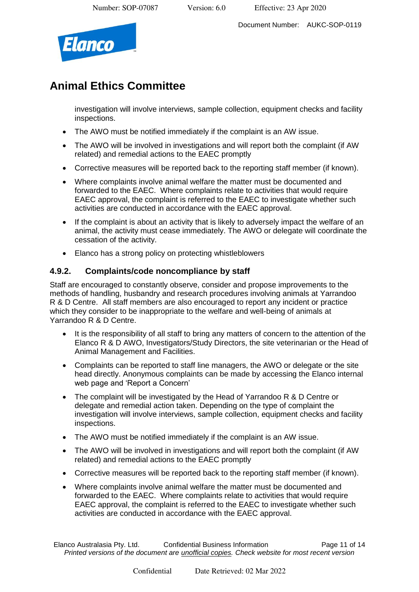Document Number: AUKC-SOP-0119



## **Animal Ethics Committee**

investigation will involve interviews, sample collection, equipment checks and facility inspections.

- The AWO must be notified immediately if the complaint is an AW issue.
- The AWO will be involved in investigations and will report both the complaint (if AW related) and remedial actions to the EAEC promptly
- Corrective measures will be reported back to the reporting staff member (if known).
- Where complaints involve animal welfare the matter must be documented and forwarded to the EAEC. Where complaints relate to activities that would require EAEC approval, the complaint is referred to the EAEC to investigate whether such activities are conducted in accordance with the EAEC approval.
- If the complaint is about an activity that is likely to adversely impact the welfare of an animal, the activity must cease immediately. The AWO or delegate will coordinate the cessation of the activity.
- Elanco has a strong policy on protecting whistleblowers

### **4.9.2. Complaints/code noncompliance by staff**

Staff are encouraged to constantly observe, consider and propose improvements to the methods of handling, husbandry and research procedures involving animals at Yarrandoo R & D Centre. All staff members are also encouraged to report any incident or practice which they consider to be inappropriate to the welfare and well-being of animals at Yarrandoo R & D Centre.

- It is the responsibility of all staff to bring any matters of concern to the attention of the Elanco R & D AWO, Investigators/Study Directors, the site veterinarian or the Head of Animal Management and Facilities.
- Complaints can be reported to staff line managers, the AWO or delegate or the site head directly. Anonymous complaints can be made by accessing the Elanco internal web page and 'Report a Concern'
- The complaint will be investigated by the Head of Yarrandoo R & D Centre or delegate and remedial action taken. Depending on the type of complaint the investigation will involve interviews, sample collection, equipment checks and facility inspections.
- The AWO must be notified immediately if the complaint is an AW issue.
- The AWO will be involved in investigations and will report both the complaint (if AW related) and remedial actions to the EAEC promptly
- Corrective measures will be reported back to the reporting staff member (if known).
- Where complaints involve animal welfare the matter must be documented and forwarded to the EAEC. Where complaints relate to activities that would require EAEC approval, the complaint is referred to the EAEC to investigate whether such activities are conducted in accordance with the EAEC approval.

Elanco Australasia Pty. Ltd. Confidential Business Information Page 11 of 14 *Printed versions of the document are unofficial copies. Check website for most recent version*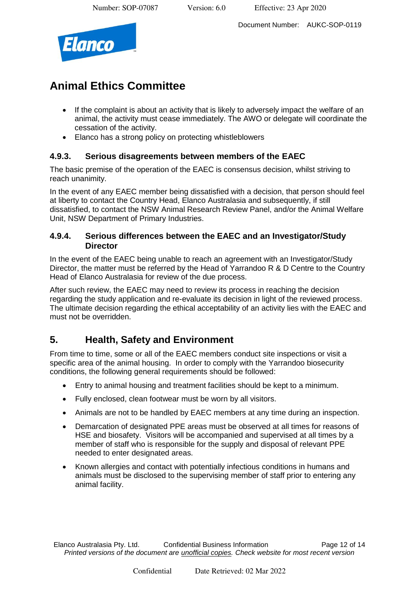Document Number: AUKC-SOP-0119



## **Animal Ethics Committee**

- If the complaint is about an activity that is likely to adversely impact the welfare of an animal, the activity must cease immediately. The AWO or delegate will coordinate the cessation of the activity.
- Elanco has a strong policy on protecting whistleblowers

### **4.9.3. Serious disagreements between members of the EAEC**

The basic premise of the operation of the EAEC is consensus decision, whilst striving to reach unanimity.

In the event of any EAEC member being dissatisfied with a decision, that person should feel at liberty to contact the Country Head, Elanco Australasia and subsequently, if still dissatisfied, to contact the NSW Animal Research Review Panel, and/or the Animal Welfare Unit, NSW Department of Primary Industries.

#### **4.9.4. Serious differences between the EAEC and an Investigator/Study Director**

In the event of the EAEC being unable to reach an agreement with an Investigator/Study Director, the matter must be referred by the Head of Yarrandoo R & D Centre to the Country Head of Elanco Australasia for review of the due process.

After such review, the EAEC may need to review its process in reaching the decision regarding the study application and re-evaluate its decision in light of the reviewed process. The ultimate decision regarding the ethical acceptability of an activity lies with the EAEC and must not be overridden.

## **5. Health, Safety and Environment**

From time to time, some or all of the EAEC members conduct site inspections or visit a specific area of the animal housing. In order to comply with the Yarrandoo biosecurity conditions, the following general requirements should be followed:

- Entry to animal housing and treatment facilities should be kept to a minimum.
- Fully enclosed, clean footwear must be worn by all visitors.
- Animals are not to be handled by EAEC members at any time during an inspection.
- Demarcation of designated PPE areas must be observed at all times for reasons of HSE and biosafety. Visitors will be accompanied and supervised at all times by a member of staff who is responsible for the supply and disposal of relevant PPE needed to enter designated areas.
- Known allergies and contact with potentially infectious conditions in humans and animals must be disclosed to the supervising member of staff prior to entering any animal facility.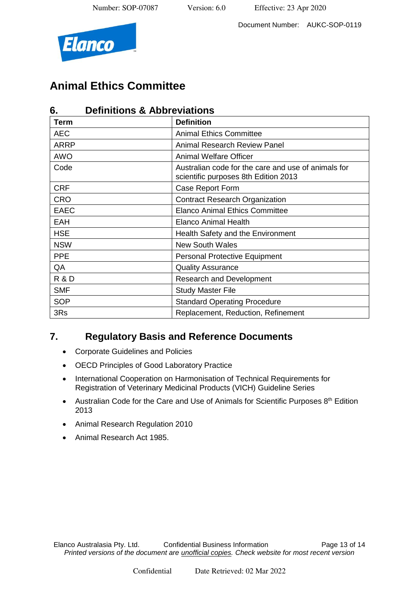

Document Number: AUKC-SOP-0119

# **Animal Ethics Committee**

| <b>Definitions &amp; Abbreviations</b><br>6. |                                                                                             |
|----------------------------------------------|---------------------------------------------------------------------------------------------|
| Term                                         | <b>Definition</b>                                                                           |
| AEC                                          | <b>Animal Ethics Committee</b>                                                              |
| <b>ARRP</b>                                  | <b>Animal Research Review Panel</b>                                                         |
| <b>AWO</b>                                   | <b>Animal Welfare Officer</b>                                                               |
| Code                                         | Australian code for the care and use of animals for<br>scientific purposes 8th Edition 2013 |
| <b>CRF</b>                                   | Case Report Form                                                                            |
| <b>CRO</b>                                   | <b>Contract Research Organization</b>                                                       |
| <b>EAEC</b>                                  | <b>Elanco Animal Ethics Committee</b>                                                       |
| EAH                                          | <b>Elanco Animal Health</b>                                                                 |
| <b>HSE</b>                                   | Health Safety and the Environment                                                           |
| <b>NSW</b>                                   | <b>New South Wales</b>                                                                      |
| <b>PPE</b>                                   | <b>Personal Protective Equipment</b>                                                        |
| QA                                           | <b>Quality Assurance</b>                                                                    |
| <b>R &amp; D</b>                             | <b>Research and Development</b>                                                             |
| <b>SMF</b>                                   | <b>Study Master File</b>                                                                    |
| <b>SOP</b>                                   | <b>Standard Operating Procedure</b>                                                         |
| 3Rs                                          | Replacement, Reduction, Refinement                                                          |

## **7. Regulatory Basis and Reference Documents**

- Corporate Guidelines and Policies
- OECD Principles of Good Laboratory Practice
- International Cooperation on Harmonisation of Technical Requirements for Registration of Veterinary Medicinal Products (VICH) Guideline Series
- Australian Code for the Care and Use of Animals for Scientific Purposes  $8<sup>th</sup>$  Edition 2013
- Animal Research Regulation 2010
- Animal Research Act 1985.